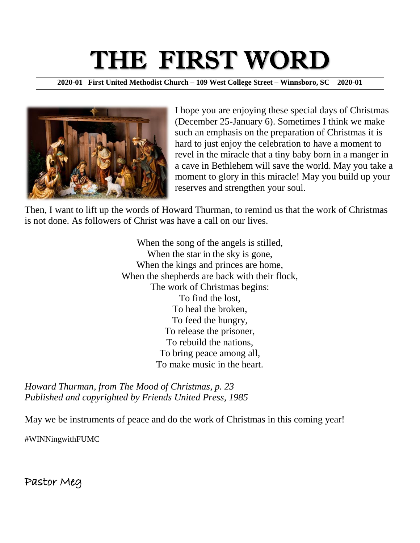# THE FIRST WORD

**2020-01 First United Methodist Church – 109 West College Street – Winnsboro, SC 2020-01**



I hope you are enjoying these special days of Christmas (December 25-January 6). Sometimes I think we make such an emphasis on the preparation of Christmas it is hard to just enjoy the celebration to have a moment to revel in the miracle that a tiny baby born in a manger in a cave in Bethlehem will save the world. May you take a moment to glory in this miracle! May you build up your reserves and strengthen your soul.

Then, I want to lift up the words of Howard Thurman, to remind us that the work of Christmas is not done. As followers of Christ was have a call on our lives.

> When the song of the angels is stilled, When the star in the sky is gone, When the kings and princes are home, When the shepherds are back with their flock, The work of Christmas begins: To find the lost, To heal the broken, To feed the hungry, To release the prisoner, To rebuild the nations, To bring peace among all, To make music in the heart.

*Howard Thurman, from The Mood of Christmas, p. 23 Published and copyrighted by Friends United Press, 1985*

May we be instruments of peace and do the work of Christmas in this coming year!

#WINNingwithFUMC

Pastor Meg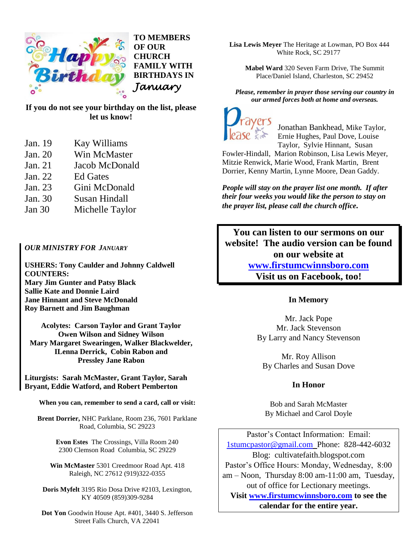

**TO MEMBERS OF OUR CHURCH FAMILY WITH BIRTHDAYS IN**  *January*

**If you do not see your birthday on the list, please let us know!** 

- Jan. 19 Kay Williams
- Jan. 20 Win McMaster
- Jan. 21 Jacob McDonald
- Jan. 22 Ed Gates
- Jan. 23 Gini McDonald
- Jan. 30 Susan Hindall
- Jan 30 Michelle Taylor

#### *OUR MINISTRY FOR JANUARY*

**USHERS: Tony Caulder and Johnny Caldwell COUNTERS: Mary Jim Gunter and Patsy Black Sallie Kate and Donnie Laird Jane Hinnant and Steve McDonald Roy Barnett and Jim Baughman**

**Acolytes: Carson Taylor and Grant Taylor Owen Wilson and Sidney Wilson Mary Margaret Swearingen, Walker Blackwelder, ILenna Derrick, Cobin Rabon and Pressley Jane Rabon**

**Liturgists: Sarah McMaster, Grant Taylor, Sarah Bryant, Eddie Watford, and Robert Pemberton**

**When you can, remember to send a card, call or visit:**

**Brent Dorrier,** NHC Parklane, Room 236, 7601 Parklane Road, Columbia, SC 29223

> **Evon Estes** The Crossings, Villa Room 240 2300 Clemson Road Columbia, SC 29229

**Win McMaster** 5301 Creedmoor Road Apt. 418 Raleigh, NC 27612 (919)322-0355

**Doris Myfelt** 3195 Rio Dosa Drive #2103, Lexington, KY 40509 (859)309-9284

**Dot Yon** Goodwin House Apt. #401, 3440 S. Jefferson Street Falls Church, VA 22041

**Lisa Lewis Meyer** The Heritage at Lowman, PO Box 444 White Rock, SC 29177

**Mabel Ward** 320 Seven Farm Drive, The Summit Place/Daniel Island, Charleston, SC 29452

*Please, remember in prayer those serving our country in our armed forces both at home and overseas.*



Jonathan Bankhead, Mike Taylor, Ernie Hughes, Paul Dove, Louise Taylor, Sylvie Hinnant, Susan

Fowler-Hindall, Marion Robinson, Lisa Lewis Meyer, Mitzie Renwick, Marie Wood, Frank Martin, Brent Dorrier, Kenny Martin, Lynne Moore, Dean Gaddy.

*People will stay on the prayer list one month. If after their four weeks you would like the person to stay on the prayer list, please call the church office.*

**You can listen to our sermons on our website! The audio version can be found on our website at [www.firstumcwinnsboro.com](http://www.firstumcwinnsboro.com/) Visit us on Facebook, too!** 

### **In Memory**

Mr. Jack Pope Mr. Jack Stevenson By Larry and Nancy Stevenson

Mr. Roy Allison By Charles and Susan Dove

### **In Honor**

Bob and Sarah McMaster By Michael and Carol Doyle

Pastor's Contact Information: Email: [1stumcpastor@gmail.com](mailto:1stumcpastor@gmail.com) Phone: 828-442-6032 Blog: cultivatefaith.blogspot.com Pastor's Office Hours: Monday, Wednesday, 8:00 am – Noon, Thursday 8:00 am-11:00 am, Tuesday, out of office for Lectionary meetings. **Visit [www.firstumcwinnsboro.com](http://www.firstumcwinnsboro.com/) to see the calendar for the entire year.**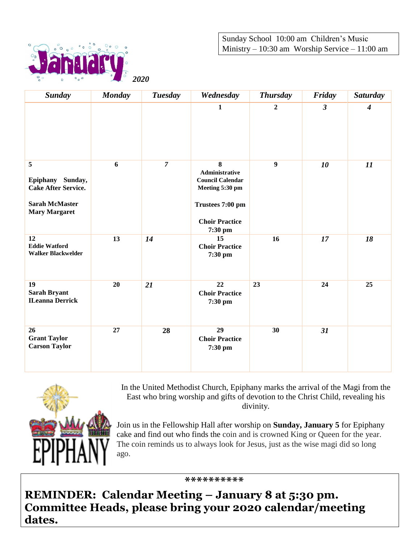Sunday School 10:00 am Children's Music Ministry – 10:30 am Worship Service – 11:00 am



| Sunday                                                                                                            | <b>Monday</b> | <b>Tuesday</b> | Wednesday                                                                                                                 | <b>Thursday</b>  | Friday         | <b>Saturday</b>  |
|-------------------------------------------------------------------------------------------------------------------|---------------|----------------|---------------------------------------------------------------------------------------------------------------------------|------------------|----------------|------------------|
|                                                                                                                   |               |                | $\mathbf{1}$                                                                                                              | $\boldsymbol{2}$ | $\mathfrak{z}$ | $\boldsymbol{4}$ |
| $\overline{5}$<br>Epiphany Sunday,<br><b>Cake After Service.</b><br><b>Sarah McMaster</b><br><b>Mary Margaret</b> | 6             | $\overline{7}$ | 8<br>Administrative<br><b>Council Calendar</b><br>Meeting 5:30 pm<br>Trustees 7:00 pm<br><b>Choir Practice</b><br>7:30 pm | $\overline{9}$   | 10             | 11               |
| 12<br><b>Eddie Watford</b><br><b>Walker Blackwelder</b>                                                           | 13            | 14             | 15<br><b>Choir Practice</b><br>7:30 pm                                                                                    | 16               | 17             | 18               |
| 19<br><b>Sarah Bryant</b><br><b>ILeanna Derrick</b>                                                               | 20            | 21             | 22<br><b>Choir Practice</b><br>7:30 pm                                                                                    | 23               | 24             | 25               |
| 26<br><b>Grant Taylor</b><br><b>Carson Taylor</b>                                                                 | 27            | 28             | 29<br><b>Choir Practice</b><br>7:30 pm                                                                                    | 30               | 31             |                  |



In the United Methodist Church, Epiphany marks the arrival of the Magi from the East who bring worship and gifts of devotion to the Christ Child, revealing his divinity.

Join us in the Fellowship Hall after worship on **Sunday, January 5** for Epiphany cake and find out who finds the coin and is crowned King or Queen for the year. The coin reminds us to always look for Jesus, just as the wise magi did so long ago.

 **\*\*\*\*\*\*\*\*\*\***

**REMINDER: Calendar Meeting – January 8 at 5:30 pm. Committee Heads, please bring your 2020 calendar/meeting dates.**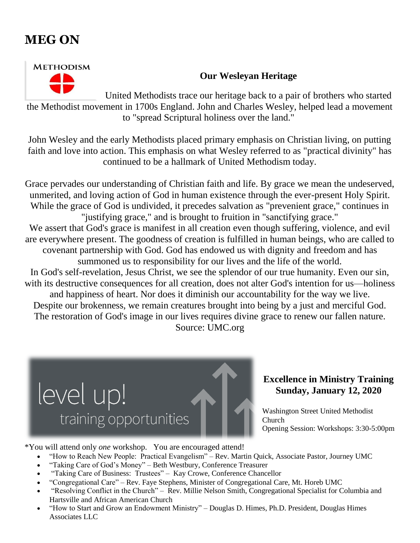# **MEG ON**



## **Our Wesleyan Heritage**

United Methodists trace our heritage back to a pair of brothers who started the Methodist movement in 1700s England. John and Charles Wesley, helped lead a movement to "spread Scriptural holiness over the land."

John Wesley and the early Methodists placed primary emphasis on Christian living, on putting faith and love into action. This emphasis on what Wesley referred to as "practical divinity" has continued to be a hallmark of United Methodism today.

Grace pervades our understanding of Christian faith and life. By grace we mean the undeserved, unmerited, and loving action of God in human existence through the ever-present Holy Spirit. While the grace of God is undivided, it precedes salvation as "prevenient grace," continues in "justifying grace," and is brought to fruition in "sanctifying grace." We assert that God's grace is manifest in all creation even though suffering, violence, and evil are everywhere present. The goodness of creation is fulfilled in human beings, who are called to covenant partnership with God. God has endowed us with dignity and freedom and has summoned us to responsibility for our lives and the life of the world. In God's self-revelation, Jesus Christ, we see the splendor of our true humanity. Even our sin, with its destructive consequences for all creation, does not alter God's intention for us—holiness and happiness of heart. Nor does it diminish our accountability for the way we live. Despite our brokenness, we remain creatures brought into being by a just and merciful God. The restoration of God's image in our lives requires divine grace to renew our fallen nature. Source: UMC.org



## **Excellence in Ministry Training Sunday, January 12, 2020**

Washington Street United Methodist Church Opening Session: Workshops: 3:30-5:00pm

\*You will attend only *one* workshop. You are encouraged attend!

- "How to Reach New People: Practical Evangelism" Rev. Martin Quick, Associate Pastor, Journey UMC
- "Taking Care of God's Money" Beth Westbury, Conference Treasurer
- "Taking Care of Business: Trustees" Kay Crowe, Conference Chancellor
- "Congregational Care" Rev. Faye Stephens, Minister of Congregational Care, Mt. Horeb UMC
- "Resolving Conflict in the Church" Rev. Millie Nelson Smith, Congregational Specialist for Columbia and Hartsville and African American Church
- "How to Start and Grow an Endowment Ministry" Douglas D. Himes, Ph.D. President, Douglas Himes Associates LLC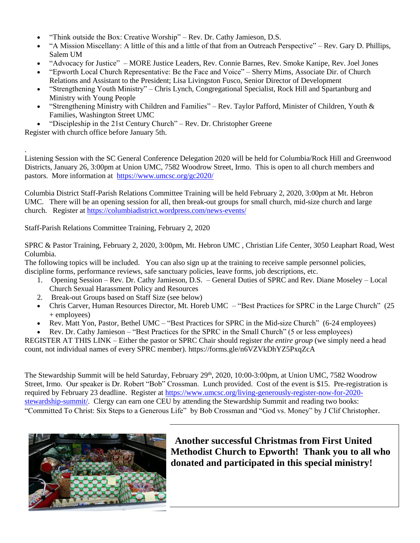- "Think outside the Box: Creative Worship" Rev. Dr. Cathy Jamieson, D.S.
- "A Mission Miscellany: A little of this and a little of that from an Outreach Perspective" Rev. Gary D. Phillips, Salem UM
- "Advocacy for Justice" MORE Justice Leaders, Rev. Connie Barnes, Rev. Smoke Kanipe, Rev. Joel Jones
- "Epworth Local Church Representative: Be the Face and Voice" Sherry Mims, Associate Dir. of Church Relations and Assistant to the President; Lisa Livingston Fusco, Senior Director of Development
- "Strengthening Youth Ministry" Chris Lynch, Congregational Specialist, Rock Hill and Spartanburg and Ministry with Young People
- "Strengthening Ministry with Children and Families" Rev. Taylor Pafford, Minister of Children, Youth  $\&$ Families, Washington Street UMC
- "Discipleship in the 21st Century Church" Rev. Dr. Christopher Greene

Register with church office before January 5th.

.

Listening Session with the SC General Conference Delegation 2020 will be held for Columbia/Rock Hill and Greenwood Districts, January 26, 3:00pm at Union UMC, 7582 Woodrow Street, Irmo. This is open to all church members and pastors. More information at <https://www.umcsc.org/gc2020/>

Columbia District Staff-Parish Relations Committee Training will be held February 2, 2020, 3:00pm at Mt. Hebron UMC. There will be an opening session for all, then break-out groups for small church, mid-size church and large church. Register at <https://columbiadistrict.wordpress.com/news-events/>

Staff-Parish Relations Committee Training, February 2, 2020

SPRC & Pastor Training, February 2, 2020, 3:00pm, Mt. Hebron UMC , Christian Life Center, 3050 Leaphart Road, West Columbia.

The following topics will be included. You can also sign up at the training to receive sample personnel policies, discipline forms, performance reviews, safe sanctuary policies, leave forms, job descriptions, etc.

- 1. Opening Session Rev. Dr. Cathy Jamieson, D.S. General Duties of SPRC and Rev. Diane Moseley Local Church Sexual Harassment Policy and Resources
- 2. Break-out Groups based on Staff Size (see below)
- Chris Carver, Human Resources Director, Mt. Horeb UMC "Best Practices for SPRC in the Large Church" (25 + employees)
- Rev. Matt Yon, Pastor, Bethel UMC "Best Practices for SPRC in the Mid-size Church" (6-24 employees)
- Rev. Dr. Cathy Jamieson "Best Practices for the SPRC in the Small Church" (5 or less employees)

REGISTER AT THIS LINK – Either the pastor or SPRC Chair should register *the entire group* (we simply need a head count, not individual names of every SPRC member). <https://forms.gle/n6VZVkDhYZ5PxqZcA>

The Stewardship Summit will be held Saturday, February 29<sup>th</sup>, 2020, 10:00-3:00pm, at Union UMC, 7582 Woodrow Street, Irmo. Our speaker is Dr. Robert "Bob" Crossman. Lunch provided. Cost of the event is \$15. Pre-registration is required by February 23 deadline. Register at [https://www.umcsc.org/living-generously-register-now-for-2020](https://www.umcsc.org/living-generously-register-now-for-2020-stewardship-summit/) [stewardship-summit/.](https://www.umcsc.org/living-generously-register-now-for-2020-stewardship-summit/) Clergy can earn one CEU by attending the Stewardship Summit and reading two books: "Committed To Christ: Six Steps to a Generous Life" by Bob Crossman and "God vs. Money" by J Clif Christopher.



 **Another successful Christmas from First United Methodist Church to Epworth! Thank you to all who donated and participated in this special ministry!**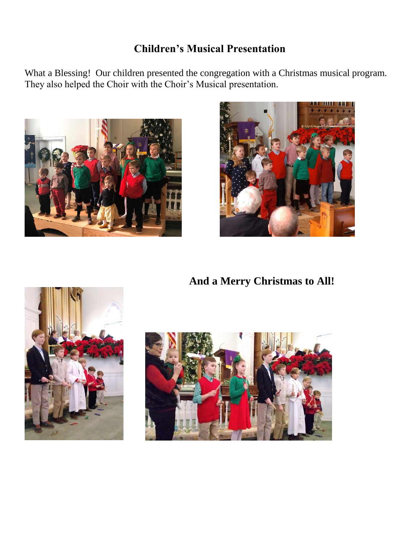# **Children's Musical Presentation**

What a Blessing! Our children presented the congregation with a Christmas musical program. They also helped the Choir with the Choir's Musical presentation.





 **And a Merry Christmas to All!**



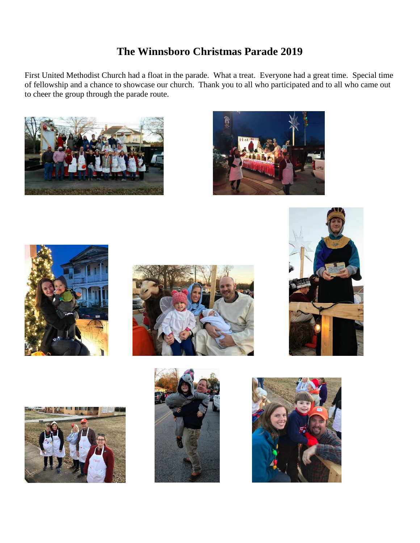# **The Winnsboro Christmas Parade 2019**

First United Methodist Church had a float in the parade. What a treat. Everyone had a great time. Special time of fellowship and a chance to showcase our church. Thank you to all who participated and to all who came out to cheer the group through the parade route.